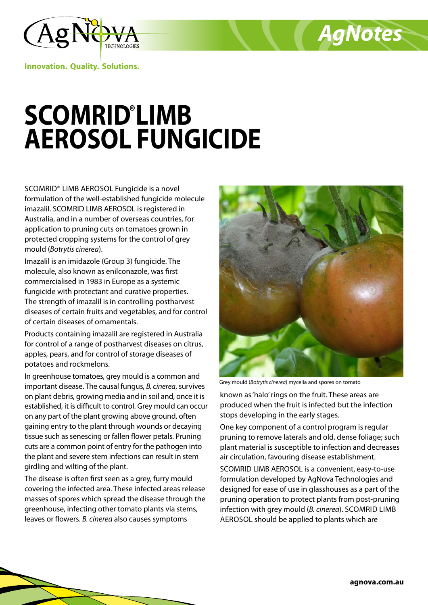

**Innovation. Quality. Solutions.**

## **SCOMRID® LIMB AEROSOL FUNGICIDE**

SCOMRID® LIMB AEROSOL Fungicide is a novel formulation of the well-established fungicide molecule imazalil. SCOMRID LIMB AEROSOL is registered in Australia, and in a number of overseas countries, for application to pruning cuts on tomatoes grown in protected cropping systems for the control of grey mould (*Botrytis cinerea*).

Imazalil is an imidazole (Group 3) fungicide. The molecule, also known as enilconazole, was first commercialised in 1983 in Europe as a systemic fungicide with protectant and curative properties. The strength of imazalil is in controlling postharvest diseases of certain fruits and vegetables, and for control of certain diseases of ornamentals.

Products containing imazalil are registered in Australia for control of a range of postharvest diseases on citrus, apples, pears, and for control of storage diseases of potatoes and rockmelons.

In greenhouse tomatoes, grey mould is a common and important disease. The causal fungus, *B. cinerea*, survives on plant debris, growing media and in soil and, once it is established, it is difficult to control. Grey mould can occur on any part of the plant growing above ground, often gaining entry to the plant through wounds or decaying tissue such as senescing or fallen flower petals. Pruning cuts are a common point of entry for the pathogen into the plant and severe stem infections can result in stem girdling and wilting of the plant.

The disease is often first seen as a grey, furry mould covering the infected area. These infected areas release masses of spores which spread the disease through the greenhouse, infecting other tomato plants via stems, leaves or flowers. *B. cinerea* also causes symptoms



*AgNotes*

Grey mould (*Botrytis cinerea*) mycelia and spores on tomato

known as 'halo' rings on the fruit. These areas are produced when the fruit is infected but the infection stops developing in the early stages.

One key component of a control program is regular pruning to remove laterals and old, dense foliage; such plant material is susceptible to infection and decreases air circulation, favouring disease establishment.

SCOMRID LIMB AEROSOL is a convenient, easy-to-use formulation developed by AgNova Technologies and designed for ease of use in glasshouses as a part of the pruning operation to protect plants from post-pruning infection with grey mould (*B. cinerea*). SCOMRID LIMB AEROSOL should be applied to plants which are